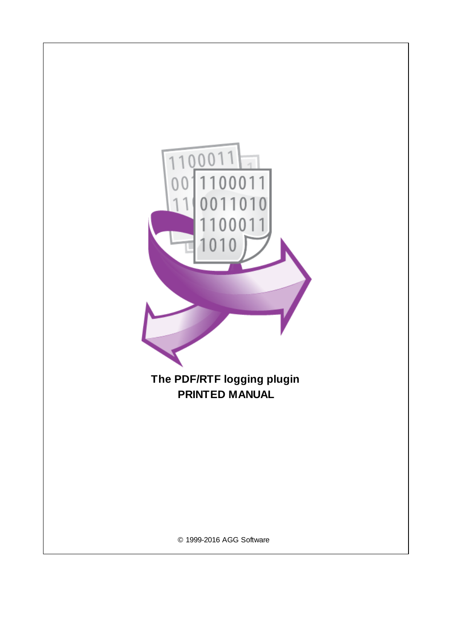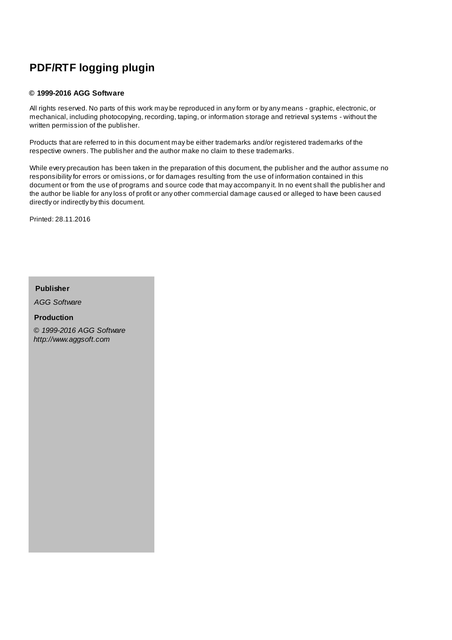# **PDF/RTF logging plugin**

#### **© 1999-2016 AGG Software**

All rights reserved. No parts of this work may be reproduced in any form or by any means - graphic, electronic, or mechanical, including photocopying, recording, taping, or information storage and retrieval systems - without the written permission of the publisher.

Products that are referred to in this document may be either trademarks and/or registered trademarks of the respective owners. The publisher and the author make no claim to these trademarks.

While every precaution has been taken in the preparation of this document, the publisher and the author assume no responsibility for errors or omissions, or for damages resulting from the use of information contained in this document or from the use of programs and source code that may accompany it. In no event shall the publisher and the author be liable for any loss of profit or any other commercial damage caused or alleged to have been caused directly or indirectly by this document.

Printed: 28.11.2016

**Publisher**

*AGG Software*

**Production**

*© 1999-2016 AGG Software http://www.aggsoft.com*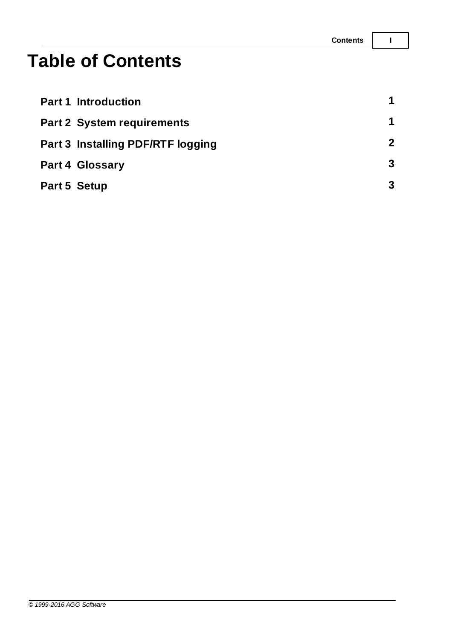# **Table of Contents**

|              | <b>Part 1 Introduction</b>        | $\mathbf 1$  |
|--------------|-----------------------------------|--------------|
|              | <b>Part 2 System requirements</b> |              |
|              | Part 3 Installing PDF/RTF logging | $\mathbf{2}$ |
|              | <b>Part 4 Glossary</b>            | 3            |
| Part 5 Setup |                                   | 3            |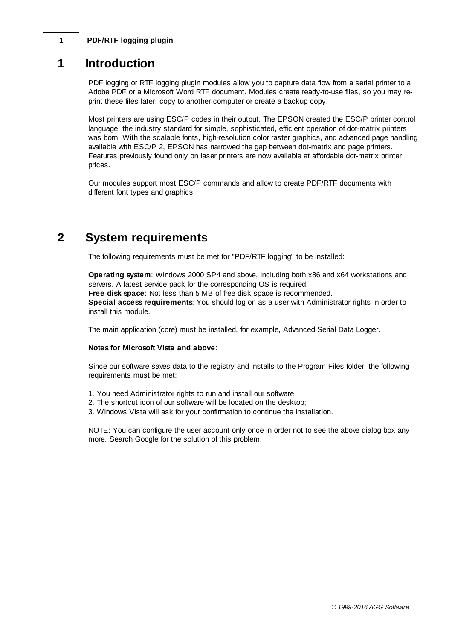### <span id="page-3-0"></span>**1 PDF/RTF logging plugin**

### **1 Introduction**

PDF logging or RTF logging plugin modules allow you to capture data flow from a serial printer to a Adobe PDF or a Microsoft Word RTF document. Modules create ready-to-use files, so you may reprint these files later, copy to another computer or create a backup copy.

Most printers are using ESC/P codes in their output. The EPSON created the ESC/P printer control language, the industry standard for simple, sophisticated, efficient operation of dot-matrix printers was born. With the scalable fonts, high-resolution color raster graphics, and advanced page handling available with ESC/P 2, EPSON has narrowed the gap between dot-matrix and page printers. Features previously found only on laser printers are now available at affordable dot-matrix printer prices.

Our modules support most ESC/P commands and allow to create PDF/RTF documents with different font types and graphics.

### <span id="page-3-1"></span>**2 System requirements**

The following requirements must be met for "PDF/RTF logging" to be installed:

**Operating system**: Windows 2000 SP4 and above, including both x86 and x64 workstations and servers. A latest service pack for the corresponding OS is required. **Free disk space**: Not less than 5 MB of free disk space is recommended. **Special access requirements**: You should log on as a user with Administrator rights in order to install this module.

The main application (core) must be installed, for example, Advanced Serial Data Logger.

#### **Notes for Microsoft Vista and above**:

Since our software saves data to the registry and installs to the Program Files folder, the following requirements must be met:

- 1. You need Administrator rights to run and install our software
- 2. The shortcut icon of our software will be located on the desktop;
- 3. Windows Vista will ask for your confirmation to continue the installation.

NOTE: You can configure the user account only once in order not to see the above dialog box any more. Search Google for the solution of this problem.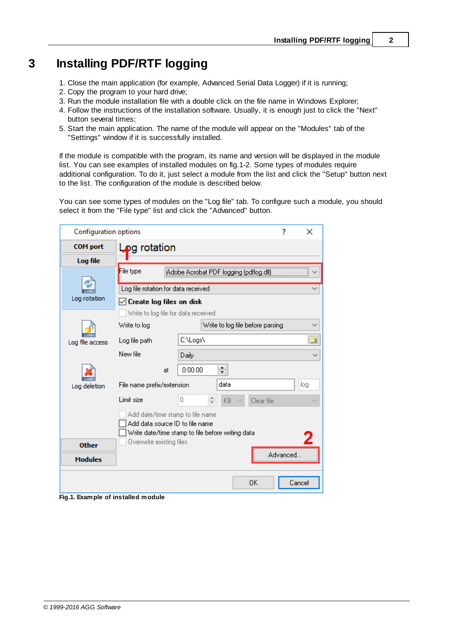# <span id="page-4-0"></span>**3 Installing PDF/RTF logging**

- 1. Close the main application (for example, Advanced Serial Data Logger) if it is running;
- 2. Copy the program to your hard drive;
- 3. Run the module installation file with a double click on the file name in Windows Explorer;
- 4. Follow the instructions of the installation software. Usually, it is enough just to click the "Next" button several times;
- 5. Start the main application. The name of the module will appear on the "Modules" tab of the "Settings" window if it is successfully installed.

If the module is compatible with the program, its name and version will be displayed in the module list. You can see examples of installed modules on fig.1-2. Some types of modules require additional configuration. To do it, just select a module from the list and click the "Setup" button next to the list. The configuration of the module is described below.

You can see some types of modules on the "Log file" tab. To configure such a module, you should select it from the "File type" list and click the "Advanced" button.

| <b>Configuration options</b>                                                                                             |                                                     |    |          |                                  |      |            | 7        | ×      |
|--------------------------------------------------------------------------------------------------------------------------|-----------------------------------------------------|----|----------|----------------------------------|------|------------|----------|--------|
| <b>COM</b> port                                                                                                          | $L_{\rm Q}$ rotation                                |    |          |                                  |      |            |          |        |
| Log file                                                                                                                 |                                                     |    |          |                                  |      |            |          |        |
|                                                                                                                          | File type<br>Adobe Acrobat PDF logging (pdflog.dll) |    |          |                                  |      |            |          |        |
|                                                                                                                          | Log file rotation for data received                 |    |          |                                  |      |            |          |        |
| Log rotation                                                                                                             | $\boxdot$ Create log files on disk                  |    |          |                                  |      |            |          |        |
|                                                                                                                          | Write to log file for data received                 |    |          |                                  |      |            |          |        |
|                                                                                                                          | Write to log                                        |    |          | Write to log file before parsing |      |            |          |        |
| Log file access                                                                                                          | Log file path                                       |    | C:\Logs\ |                                  |      |            | a        |        |
|                                                                                                                          | New file                                            |    | Daily    |                                  |      |            |          |        |
|                                                                                                                          |                                                     | at | 0:00:00  |                                  | 싂    |            |          |        |
| Log deletion                                                                                                             | File name prefix/extension                          |    |          |                                  | data |            |          | log    |
|                                                                                                                          | Limit size                                          | 0  |          | ÷                                | KB   | Clear file |          |        |
| Add date/time stamp to file name<br>Add data source ID to file name<br>Write date/time stamp to file before writing data |                                                     |    |          |                                  |      |            |          |        |
| <b>Other</b>                                                                                                             | Overwrite existing files                            |    |          |                                  |      |            |          |        |
| <b>Modules</b>                                                                                                           |                                                     |    |          |                                  |      |            | Advanced |        |
| . .                                                                                                                      |                                                     |    |          |                                  |      | 0K         |          | Cancel |

**Fig.1. Example of installed module**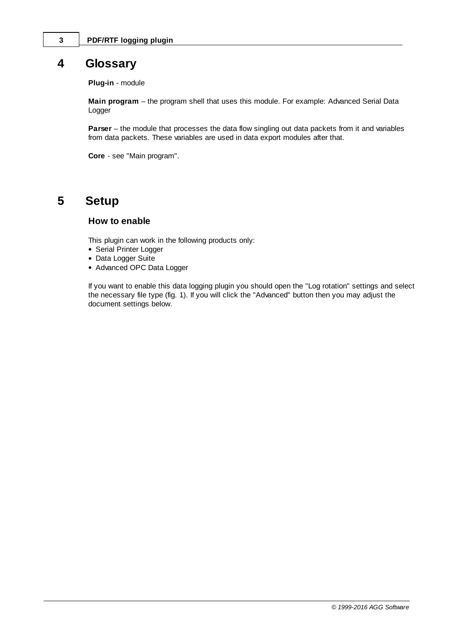### <span id="page-5-0"></span>**4 Glossary**

**Plug-in** - module

**Main program** – the program shell that uses this module. For example: Advanced Serial Data Logger

**Parser** – the module that processes the data flow singling out data packets from it and variables from data packets. These variables are used in data export modules after that.

**Core** - see "Main program".

## <span id="page-5-1"></span>**5 Setup**

### **How to enable**

This plugin can work in the following products only:

- Serial Printer Logger
- Data Logger Suite
- Advanced OPC Data Logger

If you want to enable this data logging plugin you should open the "Log rotation" settings and select the necessary file type (fig. 1). If you will click the "Advanced" button then you may adjust the document settings below.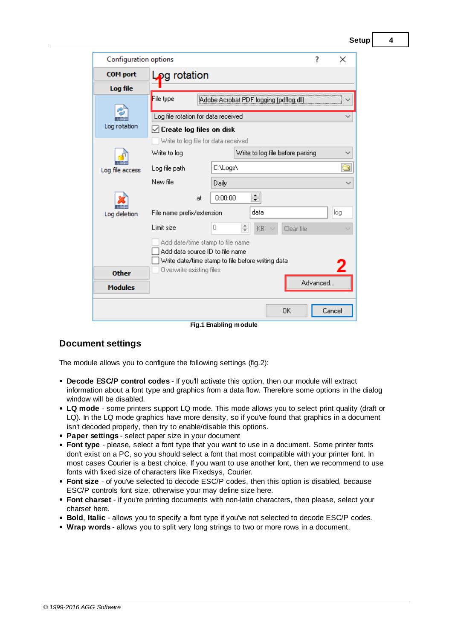**Setup 4**

| Configuration options                                                                                                    |                                          |                       |                                        | ?        | ×      |
|--------------------------------------------------------------------------------------------------------------------------|------------------------------------------|-----------------------|----------------------------------------|----------|--------|
| <b>COM</b> port                                                                                                          | Log rotation                             |                       |                                        |          |        |
| Log file                                                                                                                 |                                          |                       |                                        |          |        |
|                                                                                                                          | File type                                |                       | Adobe Acrobat PDF logging (pdflog.dll) |          |        |
|                                                                                                                          | Log file rotation for data received      |                       |                                        |          |        |
| Log rotation                                                                                                             | $\triangledown$ Create log files on disk |                       |                                        |          |        |
| Write to log file for data received                                                                                      |                                          |                       |                                        |          |        |
|                                                                                                                          | Write to log                             |                       | Write to log file before parsing       |          |        |
| Log file access                                                                                                          | Log file path                            | C:\Logs\              |                                        |          | G      |
|                                                                                                                          | New file                                 | Daily                 |                                        |          |        |
|                                                                                                                          | at                                       | 0:00:00               | 싉                                      |          |        |
| data<br>File name prefix/extension<br>Log deletion                                                                       |                                          |                       |                                        | log      |        |
|                                                                                                                          | Limit size                               | 0                     | $\frac{+}{\tau}$<br>KB.<br>Clear file  |          |        |
| Add date/time stamp to file name<br>Add data source ID to file name<br>Write date/time stamp to file before writing data |                                          |                       |                                        |          |        |
| <b>Other</b>                                                                                                             | Overwrite existing files                 |                       |                                        |          |        |
| <b>Modules</b>                                                                                                           |                                          |                       |                                        | Advanced |        |
|                                                                                                                          |                                          | Fig.1 Enabling module | 0K                                     |          | Cancel |

### **Document settings**

The module allows you to configure the following settings (fig.2):

- **Decode ESC/P control codes** If you'll activate this option, then our module will extract information about a font type and graphics from a data flow. Therefore some options in the dialog window will be disabled.
- **LQ mode** some printers support LQ mode. This mode allows you to select print quality (draft or LQ). In the LQ mode graphics have more density, so if you've found that graphics in a document isn't decoded properly, then try to enable/disable this options.
- **Paper settings** select paper size in your document
- **Font type** please, select a font type that you want to use in a document. Some printer fonts don't exist on a PC, so you should select a font that most compatible with your printer font. In most cases Courier is a best choice. If you want to use another font, then we recommend to use fonts with fixed size of characters like Fixedsys, Courier.
- **Font size** of you've selected to decode ESC/P codes, then this option is disabled, because ESC/P controls font size, otherwise your may define size here.
- **Font charset** if you're printing documents with non-latin characters, then please, select your charset here.
- **Bold**, **Italic** allows you to specify a font type if you've not selected to decode ESC/P codes.
- **Wrap words** allows you to split very long strings to two or more rows in a document.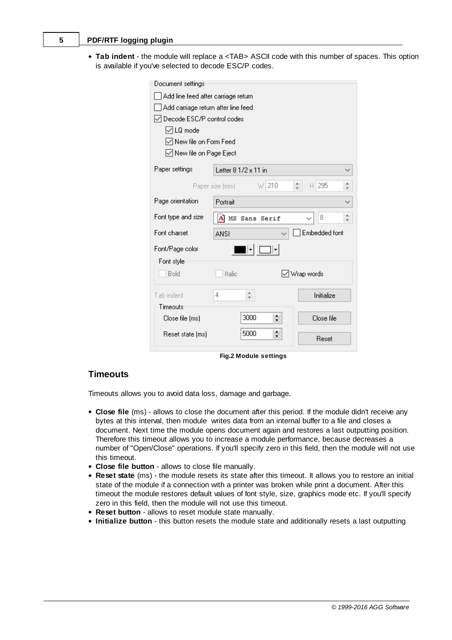#### **5 PDF/RTF logging plugin**

**Tab indent** - the module will replace a <TAB> ASCII code with this number of spaces. This option is available if you've selected to decode ESC/P codes.

| Document settings                     |                                     |                                                   |  |  |  |  |
|---------------------------------------|-------------------------------------|---------------------------------------------------|--|--|--|--|
| Add line feed after carriage return   |                                     |                                                   |  |  |  |  |
| Add carriage return after line feed   |                                     |                                                   |  |  |  |  |
| Decode ESC/P control codes            |                                     |                                                   |  |  |  |  |
| <b>√LQ</b> mode                       |                                     |                                                   |  |  |  |  |
| $\sqrt{}$ New file on Form Feed       |                                     |                                                   |  |  |  |  |
| ◯ New file on Page Eject              |                                     |                                                   |  |  |  |  |
| Paper settings                        | Letter 8 1/2 x 11 in                |                                                   |  |  |  |  |
| w 210<br>$H$   295<br>Paper size (mm) |                                     |                                                   |  |  |  |  |
| Page orientation                      | Portrait                            |                                                   |  |  |  |  |
| Font type and size                    | A MS Sans Serif                     | $\blacktriangle$<br>8<br>$\overline{\phantom{a}}$ |  |  |  |  |
| Font charset                          | <b>ANSI</b>                         | Embedded font                                     |  |  |  |  |
| <br>Font/Page color                   |                                     |                                                   |  |  |  |  |
| Font style                            |                                     |                                                   |  |  |  |  |
| Bold                                  | √ Wrap words<br>Italic              |                                                   |  |  |  |  |
| Tab indent                            | ۰.<br>4<br>$\overline{\phantom{a}}$ | Initialize                                        |  |  |  |  |
| Timeouts                              |                                     |                                                   |  |  |  |  |
| Close file (ms)                       | 싂<br>3000                           | Close file<br>Reset                               |  |  |  |  |
| Reset state [ms]                      | ▲<br>5000<br>▾                      |                                                   |  |  |  |  |

**Fig.2 Module settings**

### **Timeouts**

Timeouts allows you to avoid data loss, damage and garbage.

- **Close file** (ms) allows to close the document after this period. If the module didn't receive any bytes at this interval, then module writes data from an internal buffer to a file and closes a document. Next time the module opens document again and restores a last outputting position. Therefore this timeout allows you to increase a module performance, because decreases a number of "Open/Close" operations. If you'll specify zero in this field, then the module will not use this timeout.
- **Close file button** allows to close file manually.
- **Reset state** (ms) the module resets its state after this timeout. It allows you to restore an initial state of the module if a connection with a printer was broken while print a document. After this timeout the module restores default values of font style, size, graphics mode etc. If you'll specify zero in this field, then the module will not use this timeout.
- **Reset button** allows to reset module state manually.
- **Initialize button** this button resets the module state and additionally resets a last outputting